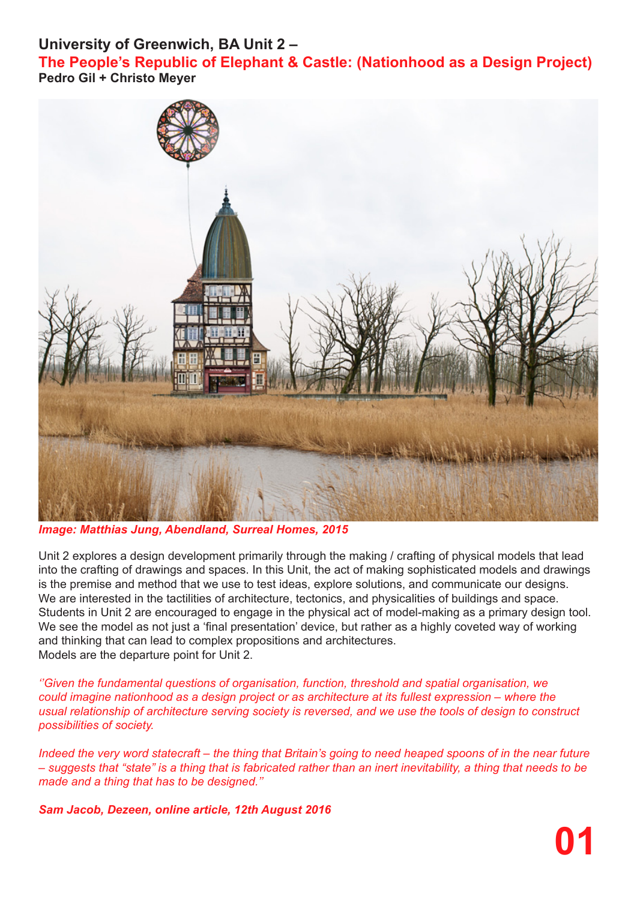## **University of Greenwich, BA Unit 2 –**

**The People's Republic of Elephant & Castle: (Nationhood as a Design Project) Pedro Gil + Christo Meyer**



*Image: Matthias Jung, Abendland, Surreal Homes, 2015*

Unit 2 explores a design development primarily through the making / crafting of physical models that lead into the crafting of drawings and spaces. In this Unit, the act of making sophisticated models and drawings is the premise and method that we use to test ideas, explore solutions, and communicate our designs. We are interested in the tactilities of architecture, tectonics, and physicalities of buildings and space. Students in Unit 2 are encouraged to engage in the physical act of model-making as a primary design tool. We see the model as not just a 'final presentation' device, but rather as a highly coveted way of working and thinking that can lead to complex propositions and architectures. Models are the departure point for Unit 2.

*''Given the fundamental questions of organisation, function, threshold and spatial organisation, we could imagine nationhood as a design project or as architecture at its fullest expression – where the usual relationship of architecture serving society is reversed, and we use the tools of design to construct possibilities of society.*

*Indeed the very word statecraft – the thing that Britain's going to need heaped spoons of in the near future – suggests that "state" is a thing that is fabricated rather than an inert inevitability, a thing that needs to be made and a thing that has to be designed.''* 

*Sam Jacob, Dezeen, online article, 12th August 2016*